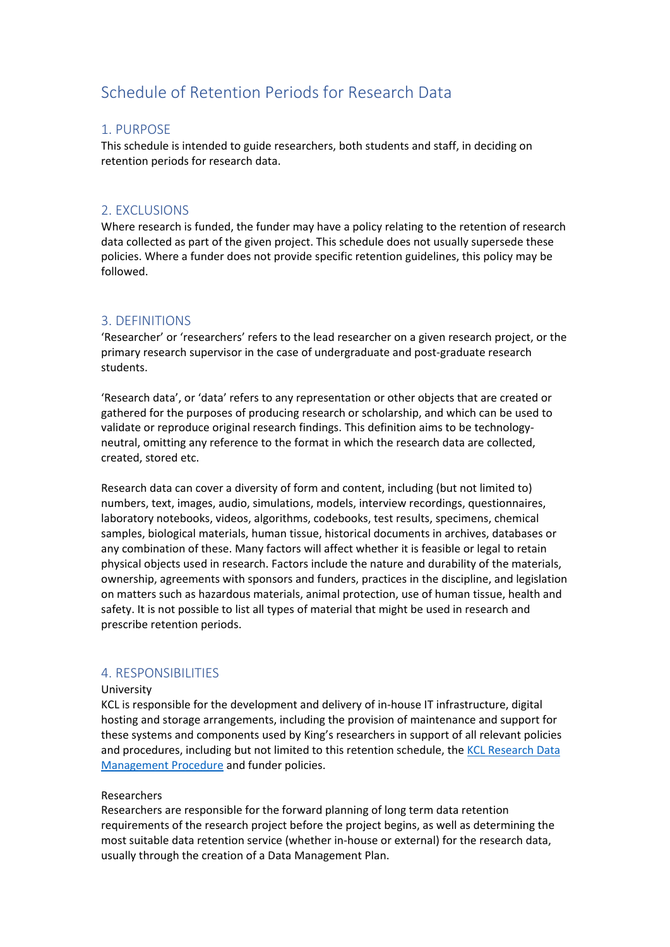# Schedule of Retention Periods for Research Data

## 1. PURPOSE

This schedule is intended to guide researchers, both students and staff, in deciding on retention periods for research data.

## 2. EXCLUSIONS

Where research is funded, the funder may have a policy relating to the retention of research data collected as part of the given project. This schedule does not usually supersede these policies. Where a funder does not provide specific retention guidelines, this policy may be followed.

## 3. DEFINITIONS

'Researcher' or 'researchers' refers to the lead researcher on a given research project, or the primary research supervisor in the case of undergraduate and post-graduate research students.

'Research data', or 'data' refers to any representation or other objects that are created or gathered for the purposes of producing research or scholarship, and which can be used to validate or reproduce original research findings. This definition aims to be technologyneutral, omitting any reference to the format in which the research data are collected, created, stored etc.

Research data can cover a diversity of form and content, including (but not limited to) numbers, text, images, audio, simulations, models, interview recordings, questionnaires, laboratory notebooks, videos, algorithms, codebooks, test results, specimens, chemical samples, biological materials, human tissue, historical documents in archives, databases or any combination of these. Many factors will affect whether it is feasible or legal to retain physical objects used in research. Factors include the nature and durability of the materials, ownership, agreements with sponsors and funders, practices in the discipline, and legislation on matters such as hazardous materials, animal protection, use of human tissue, health and safety. It is not possible to list all types of material that might be used in research and prescribe retention periods.

#### 4. RESPONSIBILITIES

#### University

KCL is responsible for the development and delivery of in-house IT infrastructure, digital hosting and storage arrangements, including the provision of maintenance and support for these systems and components used by King's researchers in support of all relevant policies and procedures, including but not limited to this retention schedule, the [KCL Research Data](https://www.kcl.ac.uk/governancezone/assets/research/research-data-management-procedure.pdf)  [Management Procedure](https://www.kcl.ac.uk/governancezone/assets/research/research-data-management-procedure.pdf) and funder policies.

#### Researchers

Researchers are responsible for the forward planning of long term data retention requirements of the research project before the project begins, as well as determining the most suitable data retention service (whether in-house or external) for the research data, usually through the creation of a Data Management Plan.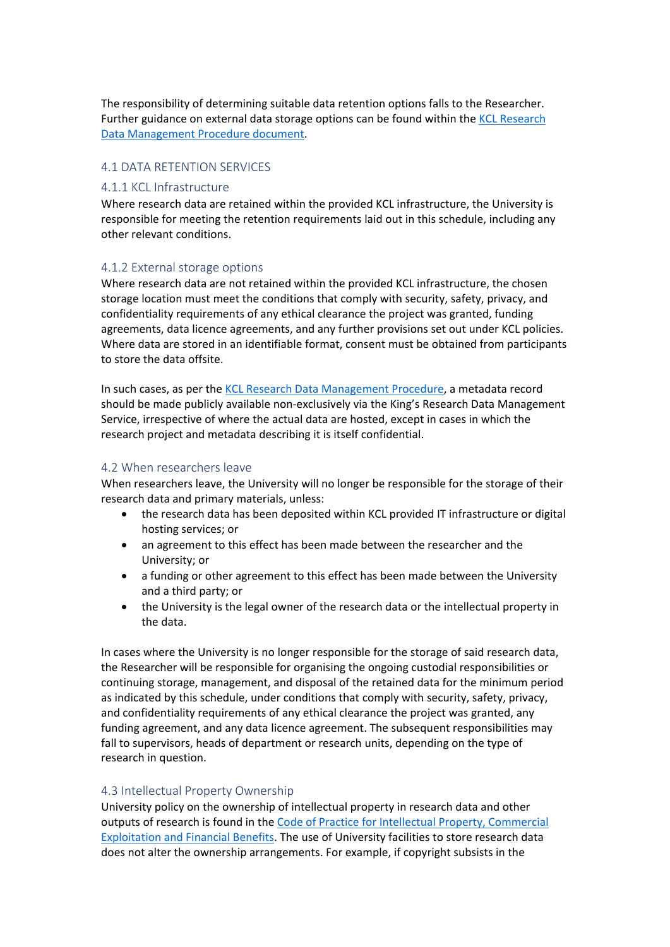The responsibility of determining suitable data retention options falls to the Researcher. Further guidance on external data storage options can be found within th[e KCL Research](https://www.kcl.ac.uk/governancezone/assets/research/research-data-management-procedure.pdf)  [Data Management Procedure document.](https://www.kcl.ac.uk/governancezone/assets/research/research-data-management-procedure.pdf)

#### 4.1 DATA RETENTION SERVICES

#### 4.1.1 KCL Infrastructure

Where research data are retained within the provided KCL infrastructure, the University is responsible for meeting the retention requirements laid out in this schedule, including any other relevant conditions.

#### 4.1.2 External storage options

Where research data are not retained within the provided KCL infrastructure, the chosen storage location must meet the conditions that comply with security, safety, privacy, and confidentiality requirements of any ethical clearance the project was granted, funding agreements, data licence agreements, and any further provisions set out under KCL policies. Where data are stored in an identifiable format, consent must be obtained from participants to store the data offsite.

In such cases, as per the [KCL Research Data Management Procedure,](https://www.kcl.ac.uk/governancezone/assets/research/research-data-management-procedure.pdf) a metadata record should be made publicly available non-exclusively via the King's Research Data Management Service, irrespective of where the actual data are hosted, except in cases in which the research project and metadata describing it is itself confidential.

#### 4.2 When researchers leave

When researchers leave, the University will no longer be responsible for the storage of their research data and primary materials, unless:

- the research data has been deposited within KCL provided IT infrastructure or digital hosting services; or
- an agreement to this effect has been made between the researcher and the University; or
- a funding or other agreement to this effect has been made between the University and a third party; or
- the University is the legal owner of the research data or the intellectual property in the data.

In cases where the University is no longer responsible for the storage of said research data, the Researcher will be responsible for organising the ongoing custodial responsibilities or continuing storage, management, and disposal of the retained data for the minimum period as indicated by this schedule, under conditions that comply with security, safety, privacy, and confidentiality requirements of any ethical clearance the project was granted, any funding agreement, and any data licence agreement. The subsequent responsibilities may fall to supervisors, heads of department or research units, depending on the type of research in question.

#### 4.3 Intellectual Property Ownership

University policy on the ownership of intellectual property in research data and other outputs of research is found in the [Code of Practice for Intellectual Property, Commercial](https://www.kcl.ac.uk/governancezone/Research/Intellectual-Property-Commercial-Exploitation-and-Financial-Benefit)  [Exploitation and Financial Benefits.](https://www.kcl.ac.uk/governancezone/Research/Intellectual-Property-Commercial-Exploitation-and-Financial-Benefit) The use of University facilities to store research data does not alter the ownership arrangements. For example, if copyright subsists in the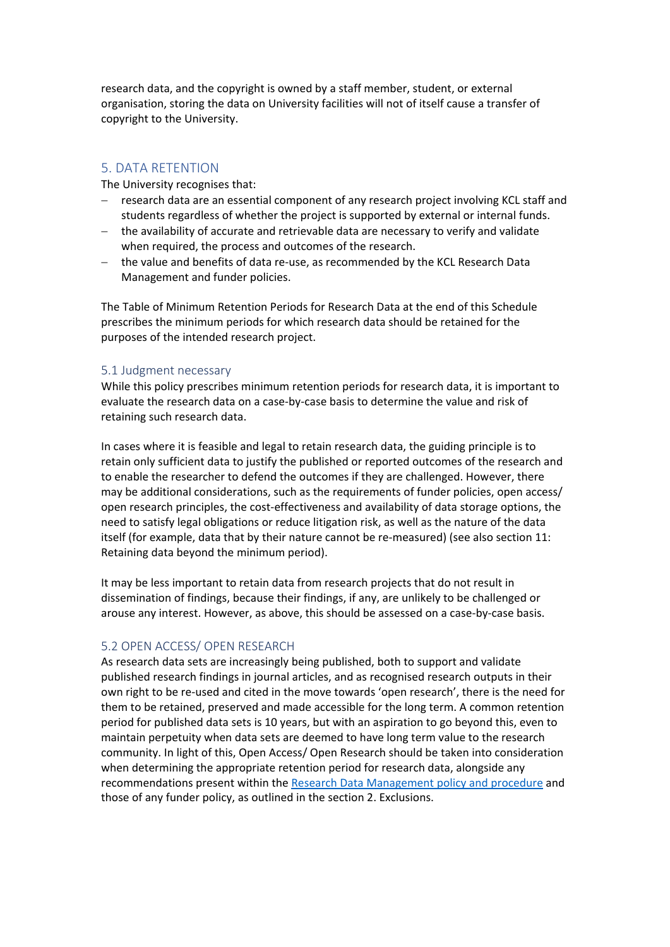research data, and the copyright is owned by a staff member, student, or external organisation, storing the data on University facilities will not of itself cause a transfer of copyright to the University.

## 5. DATA RETENTION

The University recognises that:

- − research data are an essential component of any research project involving KCL staff and students regardless of whether the project is supported by external or internal funds.
- − the availability of accurate and retrievable data are necessary to verify and validate when required, the process and outcomes of the research.
- − the value and benefits of data re-use, as recommended by the KCL Research Data Management and funder policies.

The Table of Minimum Retention Periods for Research Data at the end of this Schedule prescribes the minimum periods for which research data should be retained for the purposes of the intended research project.

#### 5.1 Judgment necessary

While this policy prescribes minimum retention periods for research data, it is important to evaluate the research data on a case-by-case basis to determine the value and risk of retaining such research data.

In cases where it is feasible and legal to retain research data, the guiding principle is to retain only sufficient data to justify the published or reported outcomes of the research and to enable the researcher to defend the outcomes if they are challenged. However, there may be additional considerations, such as the requirements of funder policies, open access/ open research principles, the cost-effectiveness and availability of data storage options, the need to satisfy legal obligations or reduce litigation risk, as well as the nature of the data itself (for example, data that by their nature cannot be re-measured) (see also section 11: Retaining data beyond the minimum period).

It may be less important to retain data from research projects that do not result in dissemination of findings, because their findings, if any, are unlikely to be challenged or arouse any interest. However, as above, this should be assessed on a case-by-case basis.

#### 5.2 OPEN ACCESS/ OPEN RESEARCH

As research data sets are increasingly being published, both to support and validate published research findings in journal articles, and as recognised research outputs in their own right to be re-used and cited in the move towards 'open research', there is the need for them to be retained, preserved and made accessible for the long term. A common retention period for published data sets is 10 years, but with an aspiration to go beyond this, even to maintain perpetuity when data sets are deemed to have long term value to the research community. In light of this, Open Access/ Open Research should be taken into consideration when determining the appropriate retention period for research data, alongside any recommendations present within the [Research Data Management policy and procedure](https://www.kcl.ac.uk/governancezone/research/research-data-management-policy) and those of any funder policy, as outlined in the section 2. Exclusions.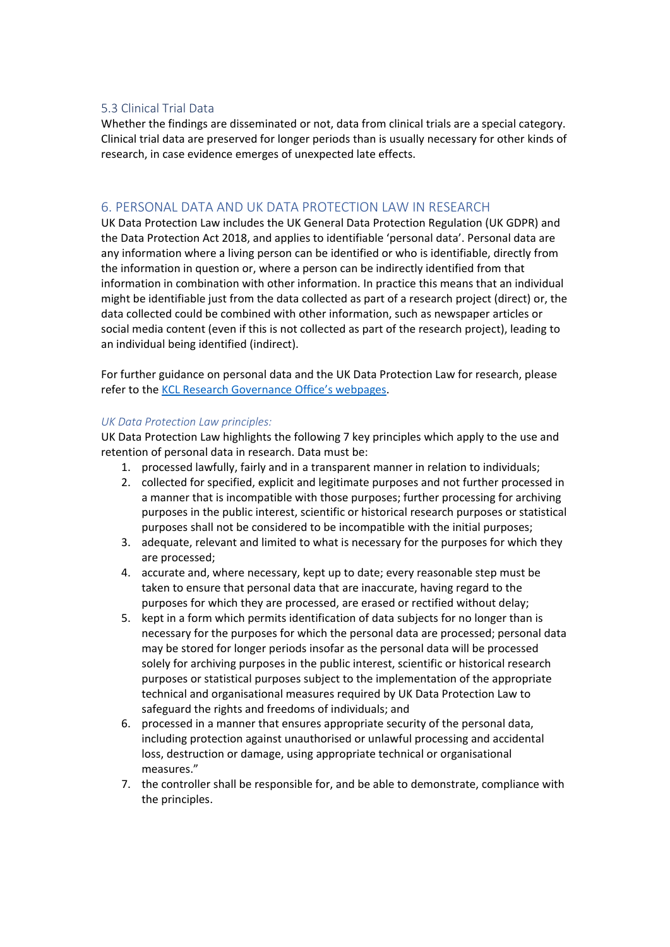#### 5.3 Clinical Trial Data

Whether the findings are disseminated or not, data from clinical trials are a special category. Clinical trial data are preserved for longer periods than is usually necessary for other kinds of research, in case evidence emerges of unexpected late effects.

## 6. PERSONAL DATA AND UK DATA PROTECTION LAW IN RESEARCH

UK Data Protection Law includes the UK General Data Protection Regulation (UK GDPR) and the Data Protection Act 2018, and applies to identifiable 'personal data'. Personal data are any information where a living person can be identified or who is identifiable, directly from the information in question or, where a person can be indirectly identified from that information in combination with other information. In practice this means that an individual might be identifiable just from the data collected as part of a research project (direct) or, the data collected could be combined with other information, such as newspaper articles or social media content (even if this is not collected as part of the research project), leading to an individual being identified (indirect).

For further guidance on personal data and the UK Data Protection Law for research, please refer to th[e KCL Research Governance Office's webpages.](https://internal.kcl.ac.uk/innovation/governance-ethics-integrity/research-governance-office/data-protection-law-and-research/how-does-uk-dp-law-affect-research)

#### *UK Data Protection Law principles:*

UK Data Protection Law highlights the following 7 key principles which apply to the use and retention of personal data in research. Data must be:

- 1. processed lawfully, fairly and in a transparent manner in relation to individuals;
- 2. collected for specified, explicit and legitimate purposes and not further processed in a manner that is incompatible with those purposes; further processing for archiving purposes in the public interest, scientific or historical research purposes or statistical purposes shall not be considered to be incompatible with the initial purposes;
- 3. adequate, relevant and limited to what is necessary for the purposes for which they are processed;
- 4. accurate and, where necessary, kept up to date; every reasonable step must be taken to ensure that personal data that are inaccurate, having regard to the purposes for which they are processed, are erased or rectified without delay;
- 5. kept in a form which permits identification of data subjects for no longer than is necessary for the purposes for which the personal data are processed; personal data may be stored for longer periods insofar as the personal data will be processed solely for archiving purposes in the public interest, scientific or historical research purposes or statistical purposes subject to the implementation of the appropriate technical and organisational measures required by UK Data Protection Law to safeguard the rights and freedoms of individuals; and
- 6. processed in a manner that ensures appropriate security of the personal data, including protection against unauthorised or unlawful processing and accidental loss, destruction or damage, using appropriate technical or organisational measures."
- 7. the controller shall be responsible for, and be able to demonstrate, compliance with the principles.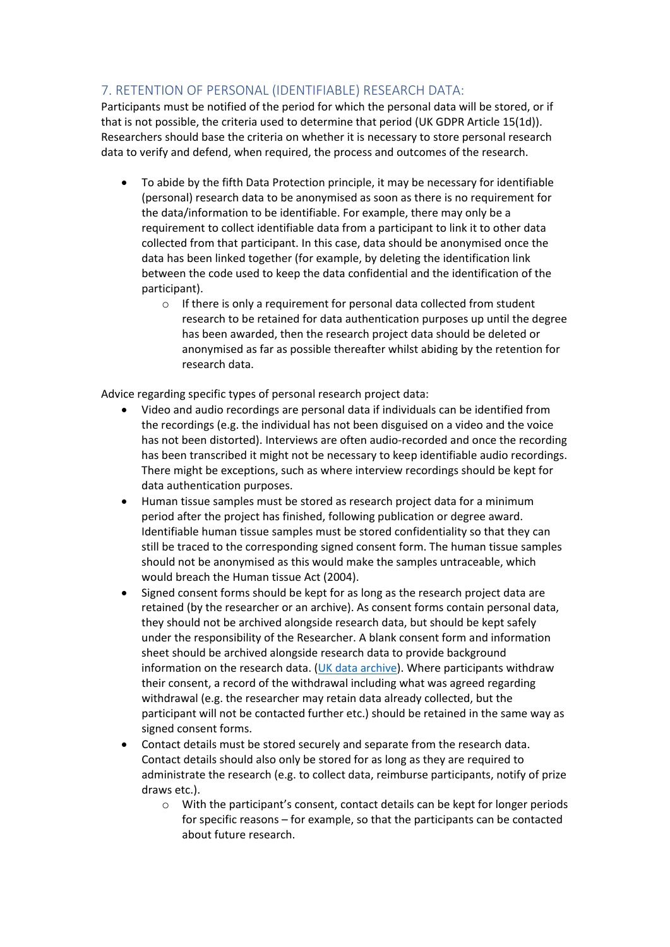# 7. RETENTION OF PERSONAL (IDENTIFIABLE) RESEARCH DATA:

Participants must be notified of the period for which the personal data will be stored, or if that is not possible, the criteria used to determine that period (UK GDPR Article 15(1d)). Researchers should base the criteria on whether it is necessary to store personal research data to verify and defend, when required, the process and outcomes of the research.

- To abide by the fifth Data Protection principle, it may be necessary for identifiable (personal) research data to be anonymised as soon as there is no requirement for the data/information to be identifiable. For example, there may only be a requirement to collect identifiable data from a participant to link it to other data collected from that participant. In this case, data should be anonymised once the data has been linked together (for example, by deleting the identification link between the code used to keep the data confidential and the identification of the participant).
	- o If there is only a requirement for personal data collected from student research to be retained for data authentication purposes up until the degree has been awarded, then the research project data should be deleted or anonymised as far as possible thereafter whilst abiding by the retention for research data.

Advice regarding specific types of personal research project data:

- Video and audio recordings are personal data if individuals can be identified from the recordings (e.g. the individual has not been disguised on a video and the voice has not been distorted). Interviews are often audio-recorded and once the recording has been transcribed it might not be necessary to keep identifiable audio recordings. There might be exceptions, such as where interview recordings should be kept for data authentication purposes.
- Human tissue samples must be stored as research project data for a minimum period after the project has finished, following publication or degree award. Identifiable human tissue samples must be stored confidentiality so that they can still be traced to the corresponding signed consent form. The human tissue samples should not be anonymised as this would make the samples untraceable, which would breach the Human tissue Act (2004).
- Signed consent forms should be kept for as long as the research project data are retained (by the researcher or an archive). As consent forms contain personal data, they should not be archived alongside research data, but should be kept safely under the responsibility of the Researcher. A blank consent form and information sheet should be archived alongside research data to provide background information on the research data. [\(UK data archive\)](https://ukdataservice.ac.uk/learning-hub/research-data-management/ethical-issues/consent-for-data-sharing/). Where participants withdraw their consent, a record of the withdrawal including what was agreed regarding withdrawal (e.g. the researcher may retain data already collected, but the participant will not be contacted further etc.) should be retained in the same way as signed consent forms.
- Contact details must be stored securely and separate from the research data. Contact details should also only be stored for as long as they are required to administrate the research (e.g. to collect data, reimburse participants, notify of prize draws etc.).
	- o With the participant's consent, contact details can be kept for longer periods for specific reasons – for example, so that the participants can be contacted about future research.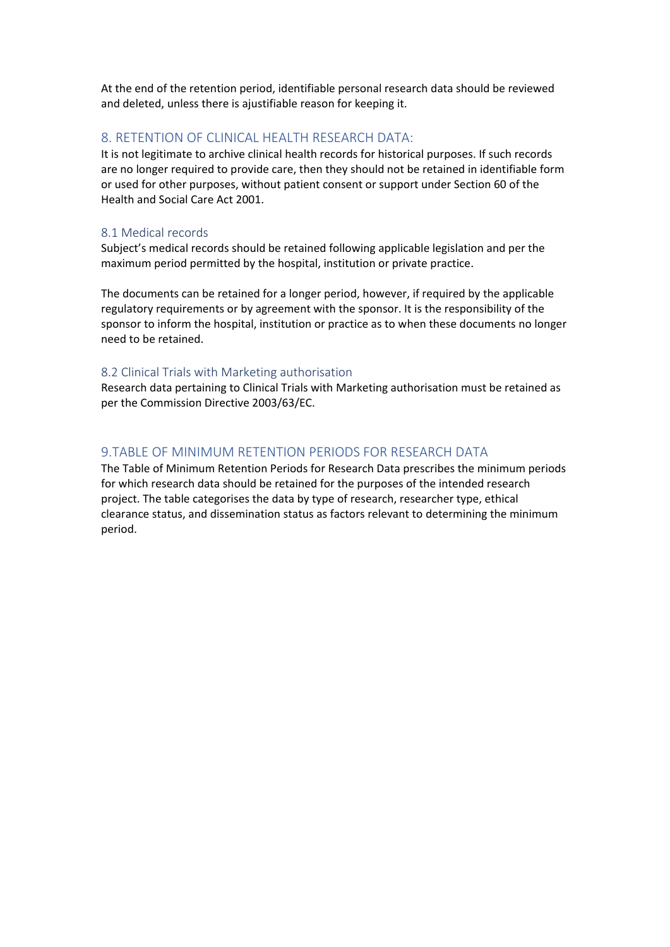At the end of the retention period, identifiable personal research data should be reviewed and deleted, unless there is ajustifiable reason for keeping it.

## 8. RETENTION OF CLINICAL HEALTH RESEARCH DATA:

It is not legitimate to archive clinical health records for historical purposes. If such records are no longer required to provide care, then they should not be retained in identifiable form or used for other purposes, without patient consent or support under Section 60 of the Health and Social Care Act 2001.

## 8.1 Medical records

Subject's medical records should be retained following applicable legislation and per the maximum period permitted by the hospital, institution or private practice.

The documents can be retained for a longer period, however, if required by the applicable regulatory requirements or by agreement with the sponsor. It is the responsibility of the sponsor to inform the hospital, institution or practice as to when these documents no longer need to be retained.

#### 8.2 Clinical Trials with Marketing authorisation

Research data pertaining to Clinical Trials with Marketing authorisation must be retained as per the Commission Directive 2003/63/EC.

# 9.TABLE OF MINIMUM RETENTION PERIODS FOR RESEARCH DATA

The Table of Minimum Retention Periods for Research Data prescribes the minimum periods for which research data should be retained for the purposes of the intended research project. The table categorises the data by type of research, researcher type, ethical clearance status, and dissemination status as factors relevant to determining the minimum period.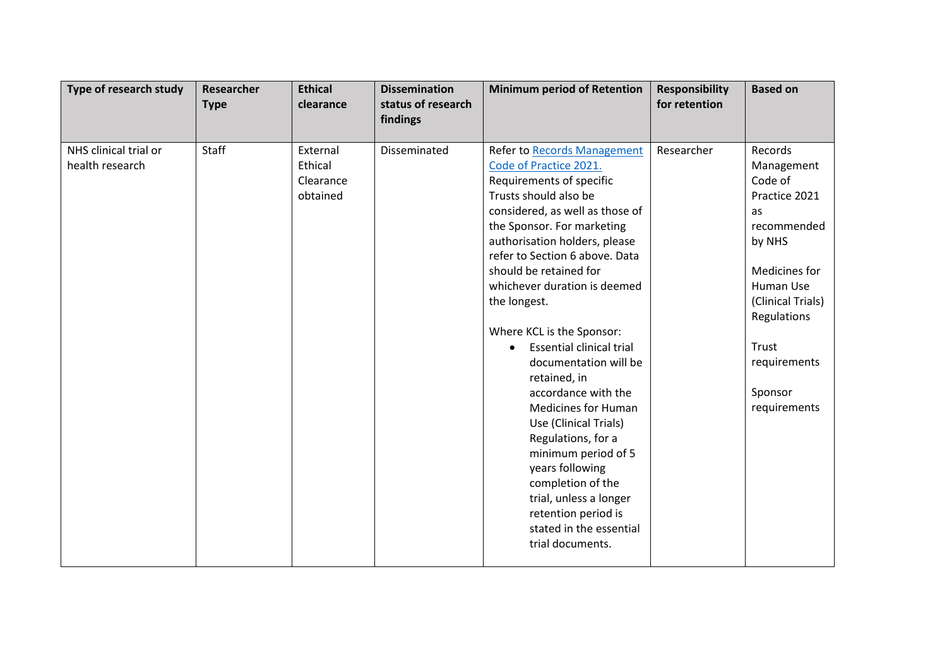| Type of research study                   | Researcher<br><b>Type</b> | <b>Ethical</b><br>clearance                  | <b>Dissemination</b><br>status of research<br>findings | <b>Minimum period of Retention</b>                                                                                                                                                                                                                                                                                                                                                                                                                                                                                                                                                                                                                                                                                       | <b>Responsibility</b><br>for retention | <b>Based on</b>                                                                                                                                                                                        |
|------------------------------------------|---------------------------|----------------------------------------------|--------------------------------------------------------|--------------------------------------------------------------------------------------------------------------------------------------------------------------------------------------------------------------------------------------------------------------------------------------------------------------------------------------------------------------------------------------------------------------------------------------------------------------------------------------------------------------------------------------------------------------------------------------------------------------------------------------------------------------------------------------------------------------------------|----------------------------------------|--------------------------------------------------------------------------------------------------------------------------------------------------------------------------------------------------------|
| NHS clinical trial or<br>health research | Staff                     | External<br>Ethical<br>Clearance<br>obtained | Disseminated                                           | <b>Refer to Records Management</b><br>Code of Practice 2021.<br>Requirements of specific<br>Trusts should also be<br>considered, as well as those of<br>the Sponsor. For marketing<br>authorisation holders, please<br>refer to Section 6 above. Data<br>should be retained for<br>whichever duration is deemed<br>the longest.<br>Where KCL is the Sponsor:<br><b>Essential clinical trial</b><br>$\bullet$<br>documentation will be<br>retained, in<br>accordance with the<br><b>Medicines for Human</b><br>Use (Clinical Trials)<br>Regulations, for a<br>minimum period of 5<br>years following<br>completion of the<br>trial, unless a longer<br>retention period is<br>stated in the essential<br>trial documents. | Researcher                             | Records<br>Management<br>Code of<br>Practice 2021<br>as<br>recommended<br>by NHS<br>Medicines for<br>Human Use<br>(Clinical Trials)<br>Regulations<br>Trust<br>requirements<br>Sponsor<br>requirements |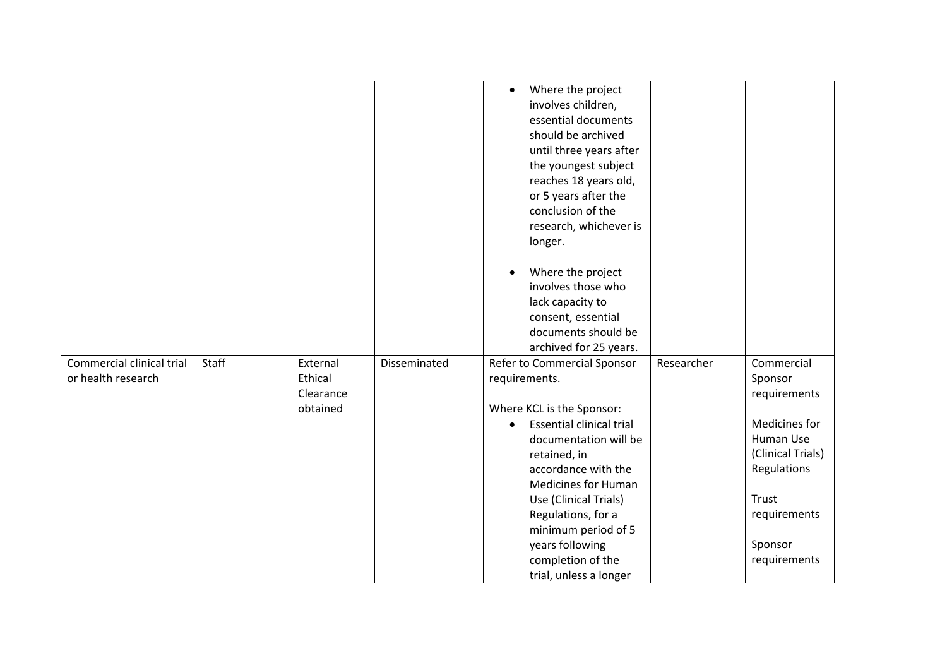|                                                 |       |                                              |              | Where the project<br>$\bullet$<br>involves children,<br>essential documents<br>should be archived<br>until three years after<br>the youngest subject<br>reaches 18 years old,<br>or 5 years after the<br>conclusion of the<br>research, whichever is<br>longer.<br>Where the project<br>$\bullet$<br>involves those who<br>lack capacity to<br>consent, essential |            |                                                                                                                                                             |
|-------------------------------------------------|-------|----------------------------------------------|--------------|-------------------------------------------------------------------------------------------------------------------------------------------------------------------------------------------------------------------------------------------------------------------------------------------------------------------------------------------------------------------|------------|-------------------------------------------------------------------------------------------------------------------------------------------------------------|
|                                                 |       |                                              |              | documents should be<br>archived for 25 years.                                                                                                                                                                                                                                                                                                                     |            |                                                                                                                                                             |
| Commercial clinical trial<br>or health research | Staff | External<br>Ethical<br>Clearance<br>obtained | Disseminated | Refer to Commercial Sponsor<br>requirements.<br>Where KCL is the Sponsor:<br><b>Essential clinical trial</b><br>$\bullet$<br>documentation will be<br>retained, in<br>accordance with the<br><b>Medicines for Human</b><br>Use (Clinical Trials)<br>Regulations, for a<br>minimum period of 5<br>years following<br>completion of the<br>trial, unless a longer   | Researcher | Commercial<br>Sponsor<br>requirements<br>Medicines for<br>Human Use<br>(Clinical Trials)<br>Regulations<br>Trust<br>requirements<br>Sponsor<br>requirements |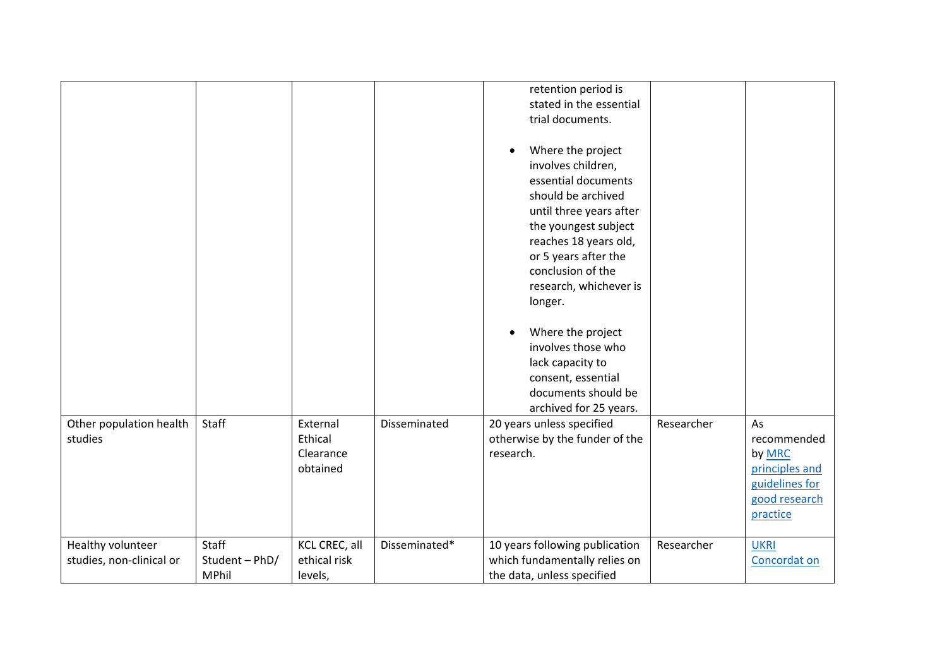|                                               |                                  |                                          |               | retention period is<br>stated in the essential<br>trial documents.<br>Where the project<br>$\bullet$<br>involves children,<br>essential documents<br>should be archived<br>until three years after<br>the youngest subject<br>reaches 18 years old,<br>or 5 years after the<br>conclusion of the<br>research, whichever is |            |                                                                         |
|-----------------------------------------------|----------------------------------|------------------------------------------|---------------|----------------------------------------------------------------------------------------------------------------------------------------------------------------------------------------------------------------------------------------------------------------------------------------------------------------------------|------------|-------------------------------------------------------------------------|
| Other population health<br>studies            | Staff                            | External<br>Ethical                      | Disseminated  | longer.<br>Where the project<br>$\bullet$<br>involves those who<br>lack capacity to<br>consent, essential<br>documents should be<br>archived for 25 years.<br>20 years unless specified<br>otherwise by the funder of the                                                                                                  | Researcher | As<br>recommended                                                       |
|                                               |                                  | Clearance<br>obtained                    |               | research.                                                                                                                                                                                                                                                                                                                  |            | by MRC<br>principles and<br>guidelines for<br>good research<br>practice |
| Healthy volunteer<br>studies, non-clinical or | Staff<br>Student - PhD/<br>MPhil | KCL CREC, all<br>ethical risk<br>levels, | Disseminated* | 10 years following publication<br>which fundamentally relies on<br>the data, unless specified                                                                                                                                                                                                                              | Researcher | <b>UKRI</b><br>Concordat on                                             |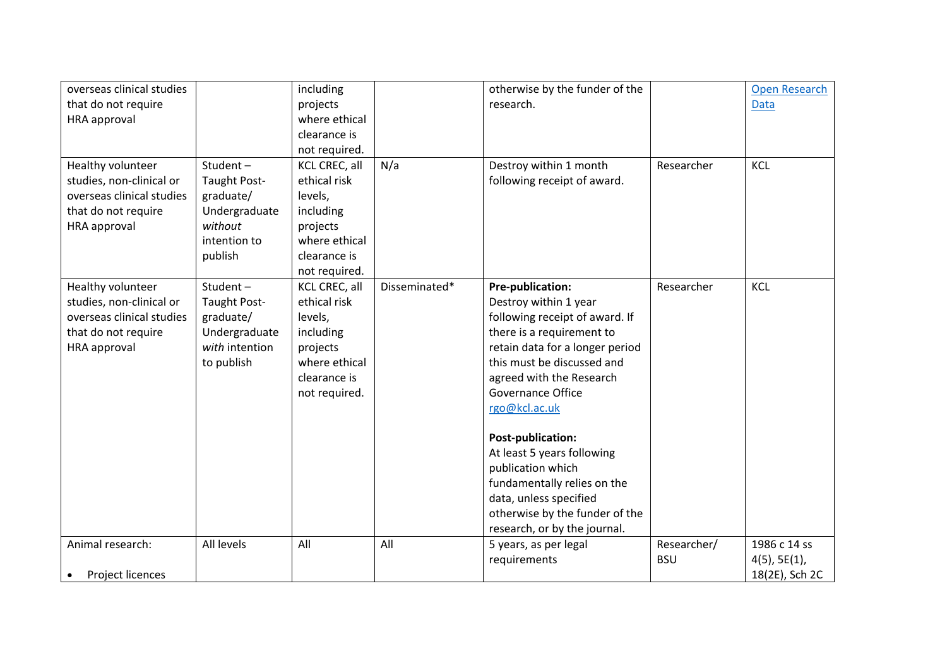| overseas clinical studies     |                | including     |               | otherwise by the funder of the  |             | <b>Open Research</b> |
|-------------------------------|----------------|---------------|---------------|---------------------------------|-------------|----------------------|
| that do not require           |                | projects      |               | research.                       |             | <b>Data</b>          |
| HRA approval                  |                | where ethical |               |                                 |             |                      |
|                               |                | clearance is  |               |                                 |             |                      |
|                               |                | not required. |               |                                 |             |                      |
| Healthy volunteer             | Student-       | KCL CREC, all | N/a           | Destroy within 1 month          | Researcher  | <b>KCL</b>           |
| studies, non-clinical or      | Taught Post-   | ethical risk  |               | following receipt of award.     |             |                      |
| overseas clinical studies     | graduate/      | levels,       |               |                                 |             |                      |
| that do not require           | Undergraduate  | including     |               |                                 |             |                      |
| HRA approval                  | without        | projects      |               |                                 |             |                      |
|                               | intention to   | where ethical |               |                                 |             |                      |
|                               | publish        | clearance is  |               |                                 |             |                      |
|                               |                | not required. |               |                                 |             |                      |
| Healthy volunteer             | Student-       | KCL CREC, all | Disseminated* | Pre-publication:                | Researcher  | KCL                  |
| studies, non-clinical or      | Taught Post-   | ethical risk  |               | Destroy within 1 year           |             |                      |
| overseas clinical studies     | graduate/      | levels,       |               | following receipt of award. If  |             |                      |
| that do not require           | Undergraduate  | including     |               | there is a requirement to       |             |                      |
| HRA approval                  | with intention | projects      |               | retain data for a longer period |             |                      |
|                               | to publish     | where ethical |               | this must be discussed and      |             |                      |
|                               |                | clearance is  |               | agreed with the Research        |             |                      |
|                               |                | not required. |               | Governance Office               |             |                      |
|                               |                |               |               | rgo@kcl.ac.uk                   |             |                      |
|                               |                |               |               | Post-publication:               |             |                      |
|                               |                |               |               | At least 5 years following      |             |                      |
|                               |                |               |               | publication which               |             |                      |
|                               |                |               |               | fundamentally relies on the     |             |                      |
|                               |                |               |               | data, unless specified          |             |                      |
|                               |                |               |               | otherwise by the funder of the  |             |                      |
|                               |                |               |               | research, or by the journal.    |             |                      |
| Animal research:              | All levels     | All           | All           | 5 years, as per legal           | Researcher/ | 1986 c 14 ss         |
|                               |                |               |               | requirements                    | <b>BSU</b>  | $4(5)$ , 5E $(1)$ ,  |
| Project licences<br>$\bullet$ |                |               |               |                                 |             | 18(2E), Sch 2C       |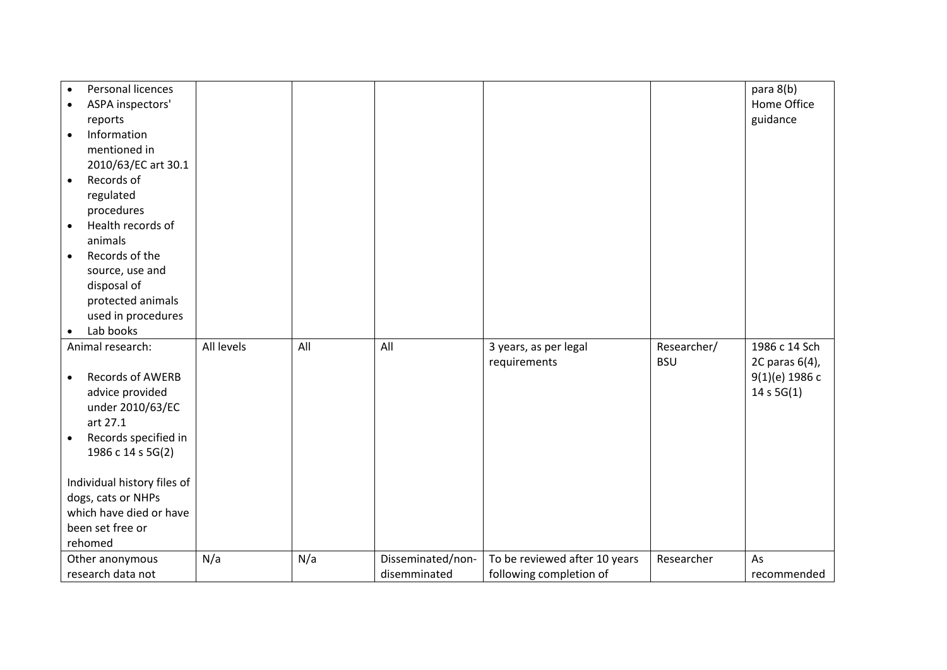| Personal licences<br>$\bullet$<br>ASPA inspectors'<br>$\bullet$<br>reports<br>Information<br>$\bullet$<br>mentioned in<br>2010/63/EC art 30.1<br>Records of<br>$\bullet$<br>regulated<br>procedures<br>Health records of<br>$\bullet$                                         |            |     |                                   |                                                          |                           | para 8(b)<br>Home Office<br>guidance                                |
|-------------------------------------------------------------------------------------------------------------------------------------------------------------------------------------------------------------------------------------------------------------------------------|------------|-----|-----------------------------------|----------------------------------------------------------|---------------------------|---------------------------------------------------------------------|
| animals<br>Records of the<br>$\bullet$<br>source, use and<br>disposal of<br>protected animals<br>used in procedures<br>Lab books<br>$\bullet$                                                                                                                                 |            |     |                                   |                                                          |                           |                                                                     |
| Animal research:<br>Records of AWERB<br>$\bullet$<br>advice provided<br>under 2010/63/EC<br>art 27.1<br>Records specified in<br>$\bullet$<br>1986 c 14 s 5G(2)<br>Individual history files of<br>dogs, cats or NHPs<br>which have died or have<br>been set free or<br>rehomed | All levels | All | All                               | 3 years, as per legal<br>requirements                    | Researcher/<br><b>BSU</b> | 1986 c 14 Sch<br>2C paras 6(4),<br>$9(1)(e)$ 1986 c<br>14 s $5G(1)$ |
| Other anonymous<br>research data not                                                                                                                                                                                                                                          | N/a        | N/a | Disseminated/non-<br>disemminated | To be reviewed after 10 years<br>following completion of | Researcher                | As<br>recommended                                                   |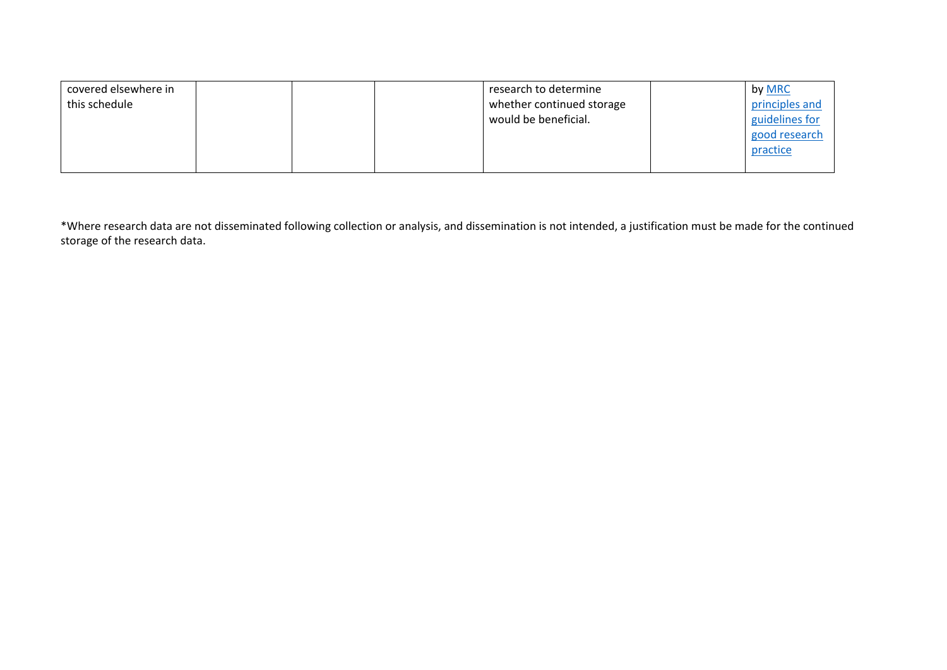| covered elsewhere in |  | research to determine     | by MRC         |
|----------------------|--|---------------------------|----------------|
| this schedule        |  | whether continued storage | principles and |
|                      |  | would be beneficial.      | guidelines for |
|                      |  |                           | good research  |
|                      |  |                           | practice       |
|                      |  |                           |                |

\*Where research data are not disseminated following collection or analysis, and dissemination is not intended, a justification must be made for the continued storage of the research data.